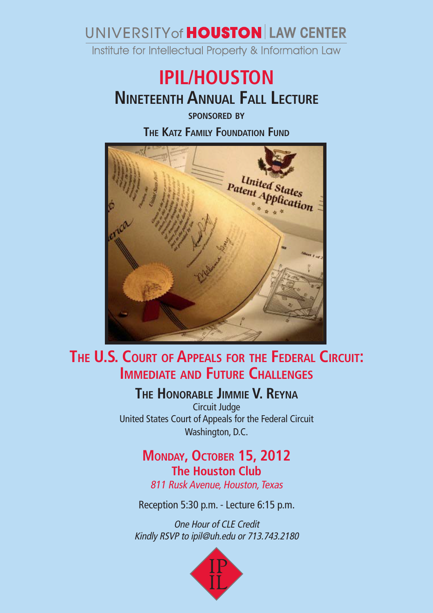## UNIVERSITY of **HOUSTON** LAW CENTER

Institute for Intellectual Property & Information Law

# **Nineteenth Annual Fall Lecture IPIL/HOUSTON**

**sponsored by**

**The Katz Family Foundation Fund**



### **The U.S. Court of Appeals for the Federal Circuit: Immediate and Future Challenges**

**The Honorable Jimmie V. Reyna**

Circuit Judge United States Court of Appeals for the Federal Circuit Washington, D.C.

#### **MONDAY, OCTOBER 15, 2012 The Houston Club**

811 Rusk Avenue, Houston, Texas

Reception 5:30 p.m. - Lecture 6:15 p.m.

One Hour of CLE Credit Kindly RSVP to ipil@uh.edu or 713.743.2180

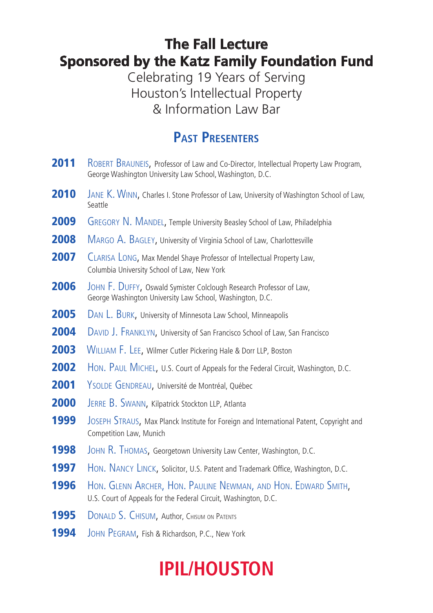#### **The Fall Lecture Sponsored by the Katz Family Foundation Fund**

Celebrating 19 Years of Serving Houston's Intellectual Property & Information Law Bar

#### **Past Presenters**

2011 ROBERT BRAUNEIS, Professor of Law and Co-Director, Intellectual Property Law Program, George Washington University Law School, Washington, D.C. **2010** JANE K. WINN, Charles I. Stone Professor of Law, University of Washington School of Law, Seattle **2009** GREGORY N. MANDEL, Temple University Beasley School of Law, Philadelphia 2008 MARGO A. BAGLEY, University of Virginia School of Law, Charlottesville 2007 CLARISA LONG, Max Mendel Shaye Professor of Intellectual Property Law, Columbia University School of Law, New York 2006 JOHN F. DUFFY, Oswald Symister Colclough Research Professor of Law, George Washington University Law School, Washington, D.C. 2005 DAN L. BURK, University of Minnesota Law School, Minneapolis **2004** DAVID J. FRANKLYN, University of San Francisco School of Law, San Francisco **2003** WILLIAM F. LEE, Wilmer Cutler Pickering Hale & Dorr LLP, Boston **2002** HON. PAUL MICHEL, U.S. Court of Appeals for the Federal Circuit, Washington, D.C. 2001 YSOLDE GENDREAU, Université de Montréal, Québec 2000 JERRE B. SWANN, Kilpatrick Stockton LLP, Atlanta **1999** JOSEPH STRAUS, Max Planck Institute for Foreign and International Patent, Copyright and Competition Law, Munich **1998** JOHN R. THOMAS, Georgetown University Law Center, Washington, D.C. **1997** HON. NANCY LINCK, Solicitor, U.S. Patent and Trademark Office, Washington, D.C. **1996** Hon. GLENN ARCHER, HON. PAULINE NEWMAN, AND HON. EDWARD SMITH, U.S. Court of Appeals for the Federal Circuit, Washington, D.C. **1995** DONALD S. CHISUM, Author, Chisum on Patents **1994** JOHN PEGRAM, Fish & Richardson, P.C., New York

# **IPIL/HOUSTON**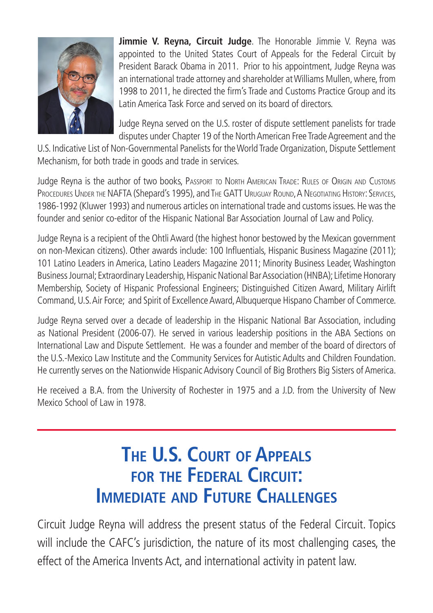

**Jimmie V. Reyna, Circuit Judge**. The Honorable Jimmie V. Reyna was appointed to the United States Court of Appeals for the Federal Circuit by President Barack Obama in 2011. Prior to his appointment, Judge Reyna was an international trade attorney and shareholder at Williams Mullen, where, from 1998 to 2011, he directed the firm's Trade and Customs Practice Group and its Latin America Task Force and served on its board of directors.

Judge Reyna served on the U.S. roster of dispute settlement panelists for trade disputes under Chapter 19 of the North American Free Trade Agreement and the

U.S. Indicative List of Non-Governmental Panelists for the World Trade Organization, Dispute Settlement Mechanism, for both trade in goods and trade in services.

Judge Reyna is the author of two books, Passport to North American Trade: Rules of Origin and Customs PROCEDURES UNDER THE NAFTA (Shepard's 1995), and THE GATT URUGUAY ROUND, A NEGOTIATING HISTORY: SERVICES, 1986-1992 (Kluwer 1993) and numerous articles on international trade and customs issues. He was the founder and senior co-editor of the Hispanic National Bar Association Journal of Law and Policy.

Judge Reyna is a recipient of the Ohtli Award (the highest honor bestowed by the Mexican government on non-Mexican citizens). Other awards include: 100 Influentials, Hispanic Business Magazine (2011); 101 Latino Leaders in America, Latino Leaders Magazine 2011; Minority Business Leader, Washington Business Journal; Extraordinary Leadership, Hispanic National Bar Association (HNBA); Lifetime Honorary Membership, Society of Hispanic Professional Engineers; Distinguished Citizen Award, Military Airlift Command, U.S. Air Force; and Spirit of Excellence Award, Albuquerque Hispano Chamber of Commerce.

Judge Reyna served over a decade of leadership in the Hispanic National Bar Association, including as National President (2006-07). He served in various leadership positions in the ABA Sections on International Law and Dispute Settlement. He was a founder and member of the board of directors of the U.S.-Mexico Law Institute and the Community Services for Autistic Adults and Children Foundation. He currently serves on the Nationwide Hispanic Advisory Council of Big Brothers Big Sisters of America.

He received a B.A. from the University of Rochester in 1975 and a J.D. from the University of New Mexico School of Law in 1978.

# **The U.S. Court of Appeals for the Federal Circuit: IMMEDIATE AND FUTURE CHALLENGES**

Circuit Judge Reyna will address the present status of the Federal Circuit. Topics will include the CAFC's jurisdiction, the nature of its most challenging cases, the effect of the America Invents Act, and international activity in patent law.